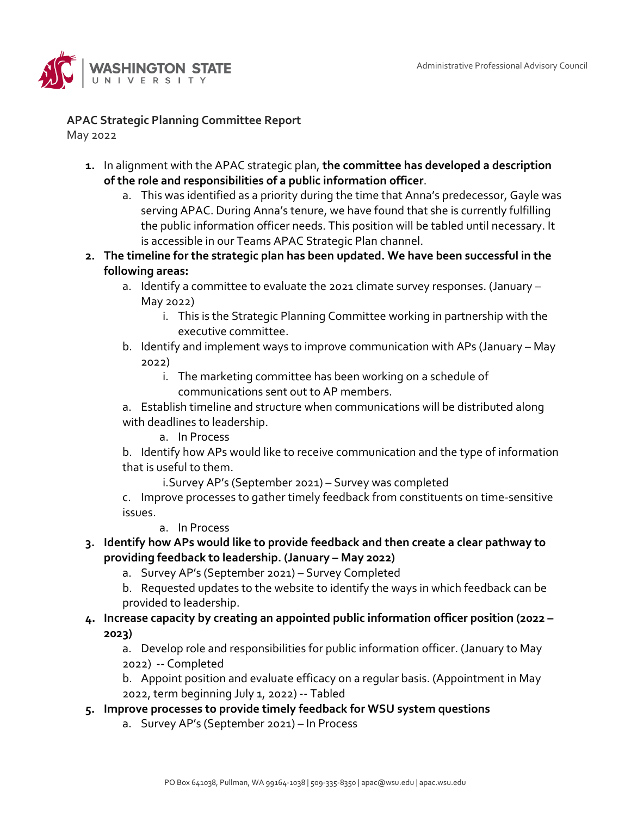

## **APAC Strategic Planning Committee Report**

May 2022

- **1.** In alignment with the APAC strategic plan, **the committee has developed a description of the role and responsibilities of a public information officer**.
	- a. This was identified as a priority during the time that Anna's predecessor, Gayle was serving APAC. During Anna's tenure, we have found that she is currently fulfilling the public information officer needs. This position will be tabled until necessary. It is accessible in our Teams APAC Strategic Plan channel.
- **2. The timeline for the strategic plan has been updated. We have been successful in the following areas:**
	- a. Identify a committee to evaluate the 2021 climate survey responses. (January May 2022)
		- i. This is the Strategic Planning Committee working in partnership with the executive committee.
	- b. Identify and implement ways to improve communication with APs (January May 2022)
		- i. The marketing committee has been working on a schedule of communications sent out to AP members.

a. Establish timeline and structure when communications will be distributed along with deadlines to leadership.

a. In Process

b. Identify how APs would like to receive communication and the type of information that is useful to them.

i.Survey AP's (September 2021) – Survey was completed

c. Improve processes to gather timely feedback from constituents on time-sensitive issues.

a. In Process

- **3. Identify how APs would like to provide feedback and then create a clear pathway to providing feedback to leadership. (January – May 2022)**
	- a. Survey AP's (September 2021) Survey Completed
	- b. Requested updates to the website to identify the ways in which feedback can be provided to leadership.
- **4. Increase capacity by creating an appointed public information officer position (2022 – 2023)**

a. Develop role and responsibilities for public information officer. (January to May 2022) -- Completed

b. Appoint position and evaluate efficacy on a regular basis. (Appointment in May 2022, term beginning July 1, 2022) -- Tabled

- **5. Improve processes to provide timely feedback for WSU system questions**
	- a. Survey AP's (September 2021) In Process